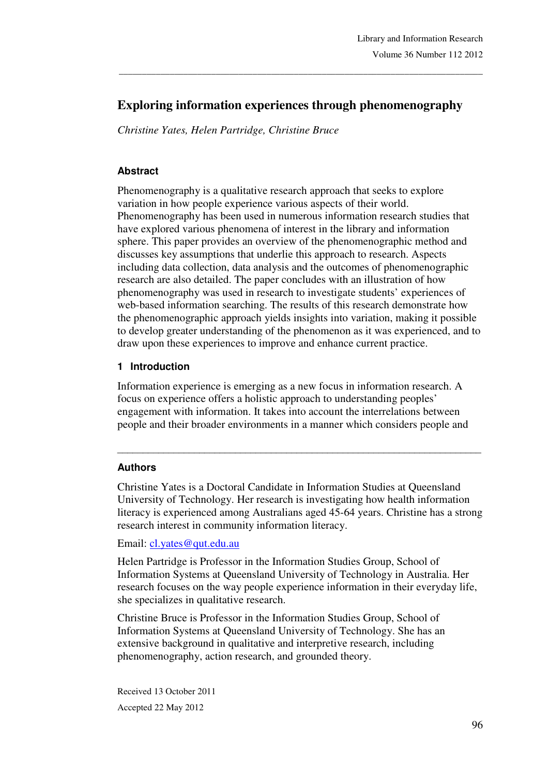# **Exploring information experiences through phenomenography**

\_\_\_\_\_\_\_\_\_\_\_\_\_\_\_\_\_\_\_\_\_\_\_\_\_\_\_\_\_\_\_\_\_\_\_\_\_\_\_\_\_\_\_\_\_\_\_\_\_\_\_\_\_\_\_\_\_\_\_\_\_\_\_\_\_\_\_\_\_\_\_\_\_\_\_\_\_\_\_

*Christine Yates, Helen Partridge, Christine Bruce* 

#### **Abstract**

Phenomenography is a qualitative research approach that seeks to explore variation in how people experience various aspects of their world. Phenomenography has been used in numerous information research studies that have explored various phenomena of interest in the library and information sphere. This paper provides an overview of the phenomenographic method and discusses key assumptions that underlie this approach to research. Aspects including data collection, data analysis and the outcomes of phenomenographic research are also detailed. The paper concludes with an illustration of how phenomenography was used in research to investigate students' experiences of web-based information searching. The results of this research demonstrate how the phenomenographic approach yields insights into variation, making it possible to develop greater understanding of the phenomenon as it was experienced, and to draw upon these experiences to improve and enhance current practice.

#### **1 Introduction**

Information experience is emerging as a new focus in information research. A focus on experience offers a holistic approach to understanding peoples' engagement with information. It takes into account the interrelations between people and their broader environments in a manner which considers people and

#### **Authors**

Christine Yates is a Doctoral Candidate in Information Studies at Queensland University of Technology. Her research is investigating how health information literacy is experienced among Australians aged 45-64 years. Christine has a strong research interest in community information literacy.

\_\_\_\_\_\_\_\_\_\_\_\_\_\_\_\_\_\_\_\_\_\_\_\_\_\_\_\_\_\_\_\_\_\_\_\_\_\_\_\_\_\_\_\_\_\_\_\_\_\_\_\_\_\_\_\_\_\_\_\_\_\_\_\_\_\_\_\_\_\_\_

Email: cl.yates@qut.edu.au

Helen Partridge is Professor in the Information Studies Group, School of Information Systems at Queensland University of Technology in Australia. Her research focuses on the way people experience information in their everyday life, she specializes in qualitative research.

Christine Bruce is Professor in the Information Studies Group, School of Information Systems at Queensland University of Technology. She has an extensive background in qualitative and interpretive research, including phenomenography, action research, and grounded theory.

Received 13 October 2011 Accepted 22 May 2012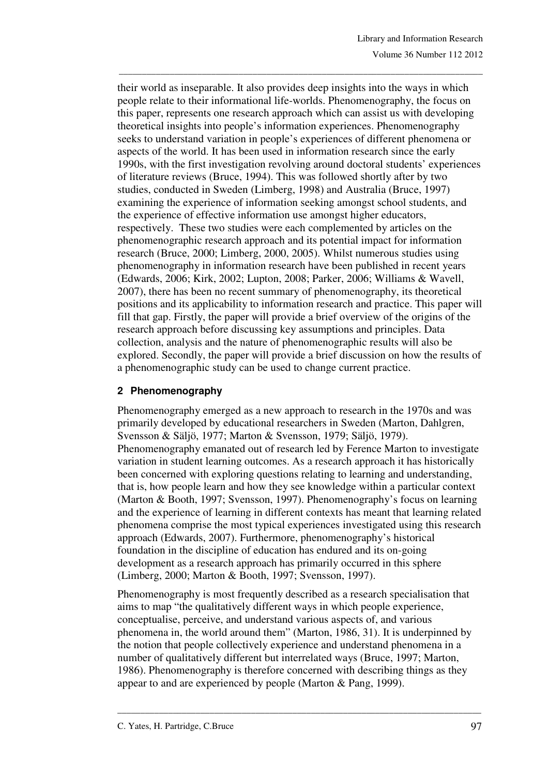their world as inseparable. It also provides deep insights into the ways in which people relate to their informational life-worlds. Phenomenography, the focus on this paper, represents one research approach which can assist us with developing theoretical insights into people's information experiences. Phenomenography seeks to understand variation in people's experiences of different phenomena or aspects of the world. It has been used in information research since the early 1990s, with the first investigation revolving around doctoral students' experiences of literature reviews (Bruce, 1994). This was followed shortly after by two studies, conducted in Sweden (Limberg, 1998) and Australia (Bruce, 1997) examining the experience of information seeking amongst school students, and the experience of effective information use amongst higher educators, respectively. These two studies were each complemented by articles on the phenomenographic research approach and its potential impact for information research (Bruce, 2000; Limberg, 2000, 2005). Whilst numerous studies using phenomenography in information research have been published in recent years (Edwards, 2006; Kirk, 2002; Lupton, 2008; Parker, 2006; Williams & Wavell, 2007), there has been no recent summary of phenomenography, its theoretical positions and its applicability to information research and practice. This paper will fill that gap. Firstly, the paper will provide a brief overview of the origins of the research approach before discussing key assumptions and principles. Data collection, analysis and the nature of phenomenographic results will also be explored. Secondly, the paper will provide a brief discussion on how the results of a phenomenographic study can be used to change current practice.

\_\_\_\_\_\_\_\_\_\_\_\_\_\_\_\_\_\_\_\_\_\_\_\_\_\_\_\_\_\_\_\_\_\_\_\_\_\_\_\_\_\_\_\_\_\_\_\_\_\_\_\_\_\_\_\_\_\_\_\_\_\_\_\_\_\_\_\_\_\_\_\_\_\_\_\_\_\_\_

## **2 Phenomenography**

Phenomenography emerged as a new approach to research in the 1970s and was primarily developed by educational researchers in Sweden (Marton, Dahlgren, Svensson & Säljö, 1977; Marton & Svensson, 1979; Säljö, 1979). Phenomenography emanated out of research led by Ference Marton to investigate variation in student learning outcomes. As a research approach it has historically been concerned with exploring questions relating to learning and understanding, that is, how people learn and how they see knowledge within a particular context (Marton & Booth, 1997; Svensson, 1997). Phenomenography's focus on learning and the experience of learning in different contexts has meant that learning related phenomena comprise the most typical experiences investigated using this research approach (Edwards, 2007). Furthermore, phenomenography's historical foundation in the discipline of education has endured and its on-going development as a research approach has primarily occurred in this sphere (Limberg, 2000; Marton & Booth, 1997; Svensson, 1997).

Phenomenography is most frequently described as a research specialisation that aims to map "the qualitatively different ways in which people experience, conceptualise, perceive, and understand various aspects of, and various phenomena in, the world around them" (Marton, 1986, 31). It is underpinned by the notion that people collectively experience and understand phenomena in a number of qualitatively different but interrelated ways (Bruce, 1997; Marton, 1986). Phenomenography is therefore concerned with describing things as they appear to and are experienced by people (Marton & Pang, 1999).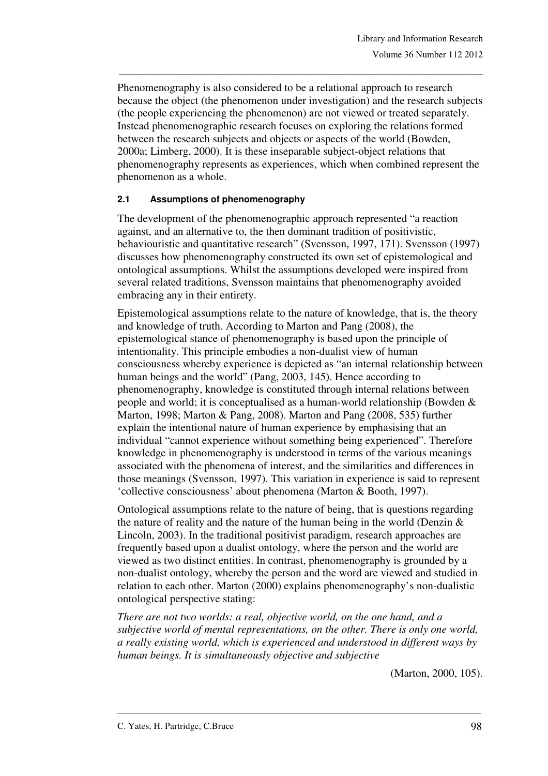Phenomenography is also considered to be a relational approach to research because the object (the phenomenon under investigation) and the research subjects (the people experiencing the phenomenon) are not viewed or treated separately. Instead phenomenographic research focuses on exploring the relations formed between the research subjects and objects or aspects of the world (Bowden, 2000a; Limberg, 2000). It is these inseparable subject-object relations that phenomenography represents as experiences, which when combined represent the phenomenon as a whole.

\_\_\_\_\_\_\_\_\_\_\_\_\_\_\_\_\_\_\_\_\_\_\_\_\_\_\_\_\_\_\_\_\_\_\_\_\_\_\_\_\_\_\_\_\_\_\_\_\_\_\_\_\_\_\_\_\_\_\_\_\_\_\_\_\_\_\_\_\_\_\_\_\_\_\_\_\_\_\_

### **2.1 Assumptions of phenomenography**

The development of the phenomenographic approach represented "a reaction against, and an alternative to, the then dominant tradition of positivistic, behaviouristic and quantitative research" (Svensson, 1997, 171). Svensson (1997) discusses how phenomenography constructed its own set of epistemological and ontological assumptions. Whilst the assumptions developed were inspired from several related traditions, Svensson maintains that phenomenography avoided embracing any in their entirety.

Epistemological assumptions relate to the nature of knowledge, that is, the theory and knowledge of truth. According to Marton and Pang (2008), the epistemological stance of phenomenography is based upon the principle of intentionality. This principle embodies a non-dualist view of human consciousness whereby experience is depicted as "an internal relationship between human beings and the world" (Pang, 2003, 145). Hence according to phenomenography, knowledge is constituted through internal relations between people and world; it is conceptualised as a human-world relationship (Bowden & Marton, 1998; Marton & Pang, 2008). Marton and Pang (2008, 535) further explain the intentional nature of human experience by emphasising that an individual "cannot experience without something being experienced". Therefore knowledge in phenomenography is understood in terms of the various meanings associated with the phenomena of interest, and the similarities and differences in those meanings (Svensson, 1997). This variation in experience is said to represent 'collective consciousness' about phenomena (Marton & Booth, 1997).

Ontological assumptions relate to the nature of being, that is questions regarding the nature of reality and the nature of the human being in the world (Denzin  $\&$ Lincoln, 2003). In the traditional positivist paradigm, research approaches are frequently based upon a dualist ontology, where the person and the world are viewed as two distinct entities. In contrast, phenomenography is grounded by a non-dualist ontology, whereby the person and the word are viewed and studied in relation to each other. Marton (2000) explains phenomenography's non-dualistic ontological perspective stating:

*There are not two worlds: a real, objective world, on the one hand, and a subjective world of mental representations, on the other. There is only one world, a really existing world, which is experienced and understood in different ways by human beings. It is simultaneously objective and subjective* 

\_\_\_\_\_\_\_\_\_\_\_\_\_\_\_\_\_\_\_\_\_\_\_\_\_\_\_\_\_\_\_\_\_\_\_\_\_\_\_\_\_\_\_\_\_\_\_\_\_\_\_\_\_\_\_\_\_\_\_\_\_\_\_\_\_\_\_\_\_\_\_\_\_\_\_\_\_\_\_

(Marton, 2000, 105).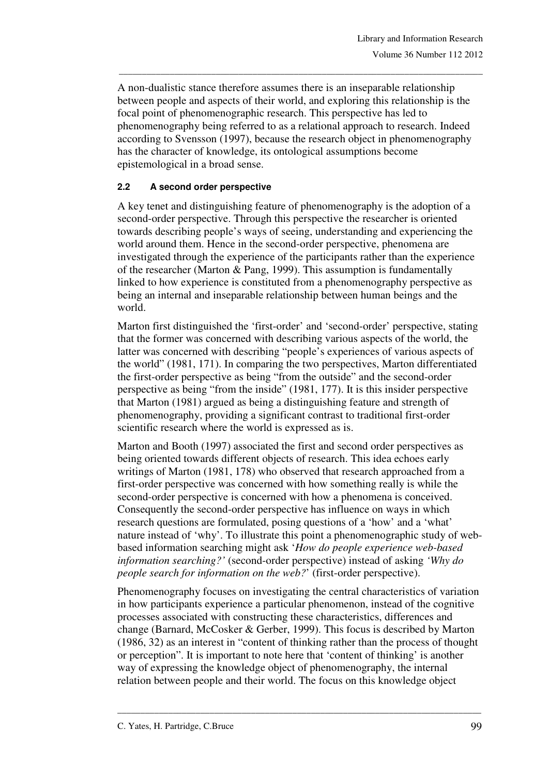A non-dualistic stance therefore assumes there is an inseparable relationship between people and aspects of their world, and exploring this relationship is the focal point of phenomenographic research. This perspective has led to phenomenography being referred to as a relational approach to research. Indeed according to Svensson (1997), because the research object in phenomenography has the character of knowledge, its ontological assumptions become epistemological in a broad sense.

\_\_\_\_\_\_\_\_\_\_\_\_\_\_\_\_\_\_\_\_\_\_\_\_\_\_\_\_\_\_\_\_\_\_\_\_\_\_\_\_\_\_\_\_\_\_\_\_\_\_\_\_\_\_\_\_\_\_\_\_\_\_\_\_\_\_\_\_\_\_\_\_\_\_\_\_\_\_\_

### **2.2 A second order perspective**

A key tenet and distinguishing feature of phenomenography is the adoption of a second-order perspective. Through this perspective the researcher is oriented towards describing people's ways of seeing, understanding and experiencing the world around them. Hence in the second-order perspective, phenomena are investigated through the experience of the participants rather than the experience of the researcher (Marton & Pang, 1999). This assumption is fundamentally linked to how experience is constituted from a phenomenography perspective as being an internal and inseparable relationship between human beings and the world.

Marton first distinguished the 'first-order' and 'second-order' perspective, stating that the former was concerned with describing various aspects of the world, the latter was concerned with describing "people's experiences of various aspects of the world" (1981, 171). In comparing the two perspectives, Marton differentiated the first-order perspective as being "from the outside" and the second-order perspective as being "from the inside" (1981, 177). It is this insider perspective that Marton (1981) argued as being a distinguishing feature and strength of phenomenography, providing a significant contrast to traditional first-order scientific research where the world is expressed as is.

Marton and Booth (1997) associated the first and second order perspectives as being oriented towards different objects of research. This idea echoes early writings of Marton (1981, 178) who observed that research approached from a first-order perspective was concerned with how something really is while the second-order perspective is concerned with how a phenomena is conceived. Consequently the second-order perspective has influence on ways in which research questions are formulated, posing questions of a 'how' and a 'what' nature instead of 'why'. To illustrate this point a phenomenographic study of webbased information searching might ask '*How do people experience web-based information searching?'* (second-order perspective) instead of asking *'Why do people search for information on the web?*' (first-order perspective).

Phenomenography focuses on investigating the central characteristics of variation in how participants experience a particular phenomenon, instead of the cognitive processes associated with constructing these characteristics, differences and change (Barnard, McCosker & Gerber, 1999). This focus is described by Marton (1986, 32) as an interest in "content of thinking rather than the process of thought or perception". It is important to note here that 'content of thinking' is another way of expressing the knowledge object of phenomenography, the internal relation between people and their world. The focus on this knowledge object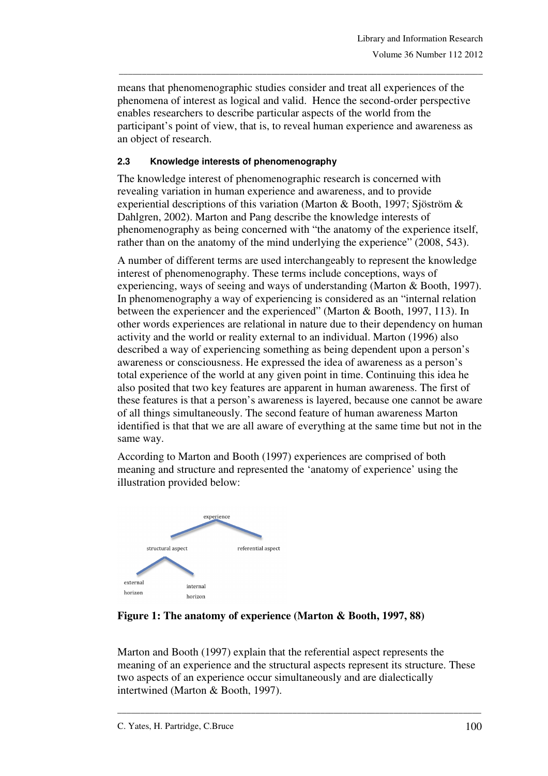means that phenomenographic studies consider and treat all experiences of the phenomena of interest as logical and valid. Hence the second-order perspective enables researchers to describe particular aspects of the world from the participant's point of view, that is, to reveal human experience and awareness as an object of research.

\_\_\_\_\_\_\_\_\_\_\_\_\_\_\_\_\_\_\_\_\_\_\_\_\_\_\_\_\_\_\_\_\_\_\_\_\_\_\_\_\_\_\_\_\_\_\_\_\_\_\_\_\_\_\_\_\_\_\_\_\_\_\_\_\_\_\_\_\_\_\_\_\_\_\_\_\_\_\_

### **2.3 Knowledge interests of phenomenography**

The knowledge interest of phenomenographic research is concerned with revealing variation in human experience and awareness, and to provide experiential descriptions of this variation (Marton & Booth, 1997; Sjöström & Dahlgren, 2002). Marton and Pang describe the knowledge interests of phenomenography as being concerned with "the anatomy of the experience itself, rather than on the anatomy of the mind underlying the experience" (2008, 543).

A number of different terms are used interchangeably to represent the knowledge interest of phenomenography. These terms include conceptions, ways of experiencing, ways of seeing and ways of understanding (Marton & Booth, 1997). In phenomenography a way of experiencing is considered as an "internal relation between the experiencer and the experienced" (Marton & Booth, 1997, 113). In other words experiences are relational in nature due to their dependency on human activity and the world or reality external to an individual. Marton (1996) also described a way of experiencing something as being dependent upon a person's awareness or consciousness. He expressed the idea of awareness as a person's total experience of the world at any given point in time. Continuing this idea he also posited that two key features are apparent in human awareness. The first of these features is that a person's awareness is layered, because one cannot be aware of all things simultaneously. The second feature of human awareness Marton identified is that that we are all aware of everything at the same time but not in the same way.

According to Marton and Booth (1997) experiences are comprised of both meaning and structure and represented the 'anatomy of experience' using the illustration provided below:



**Figure 1: The anatomy of experience (Marton & Booth, 1997, 88)** 

Marton and Booth (1997) explain that the referential aspect represents the meaning of an experience and the structural aspects represent its structure. These two aspects of an experience occur simultaneously and are dialectically intertwined (Marton & Booth, 1997).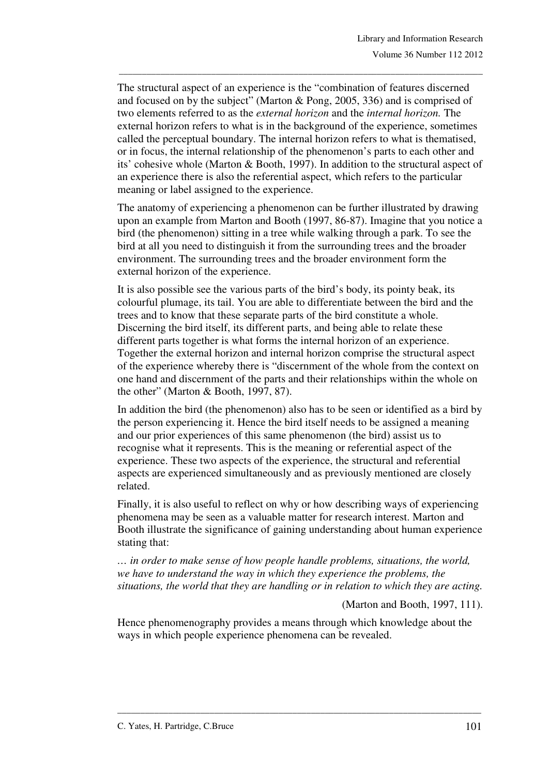The structural aspect of an experience is the "combination of features discerned and focused on by the subject" (Marton & Pong, 2005, 336) and is comprised of two elements referred to as the *external horizon* and the *internal horizon.* The external horizon refers to what is in the background of the experience, sometimes called the perceptual boundary. The internal horizon refers to what is thematised, or in focus, the internal relationship of the phenomenon's parts to each other and its' cohesive whole (Marton & Booth, 1997). In addition to the structural aspect of an experience there is also the referential aspect, which refers to the particular meaning or label assigned to the experience.

\_\_\_\_\_\_\_\_\_\_\_\_\_\_\_\_\_\_\_\_\_\_\_\_\_\_\_\_\_\_\_\_\_\_\_\_\_\_\_\_\_\_\_\_\_\_\_\_\_\_\_\_\_\_\_\_\_\_\_\_\_\_\_\_\_\_\_\_\_\_\_\_\_\_\_\_\_\_\_

The anatomy of experiencing a phenomenon can be further illustrated by drawing upon an example from Marton and Booth (1997, 86-87). Imagine that you notice a bird (the phenomenon) sitting in a tree while walking through a park. To see the bird at all you need to distinguish it from the surrounding trees and the broader environment. The surrounding trees and the broader environment form the external horizon of the experience.

It is also possible see the various parts of the bird's body, its pointy beak, its colourful plumage, its tail. You are able to differentiate between the bird and the trees and to know that these separate parts of the bird constitute a whole. Discerning the bird itself, its different parts, and being able to relate these different parts together is what forms the internal horizon of an experience. Together the external horizon and internal horizon comprise the structural aspect of the experience whereby there is "discernment of the whole from the context on one hand and discernment of the parts and their relationships within the whole on the other" (Marton & Booth, 1997, 87).

In addition the bird (the phenomenon) also has to be seen or identified as a bird by the person experiencing it. Hence the bird itself needs to be assigned a meaning and our prior experiences of this same phenomenon (the bird) assist us to recognise what it represents. This is the meaning or referential aspect of the experience. These two aspects of the experience, the structural and referential aspects are experienced simultaneously and as previously mentioned are closely related.

Finally, it is also useful to reflect on why or how describing ways of experiencing phenomena may be seen as a valuable matter for research interest. Marton and Booth illustrate the significance of gaining understanding about human experience stating that:

*… in order to make sense of how people handle problems, situations, the world, we have to understand the way in which they experience the problems, the situations, the world that they are handling or in relation to which they are acting.* 

(Marton and Booth, 1997, 111).

Hence phenomenography provides a means through which knowledge about the ways in which people experience phenomena can be revealed.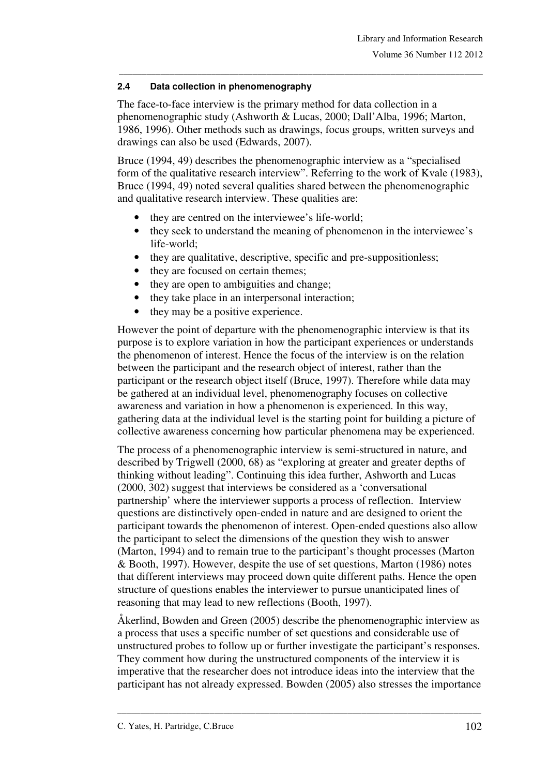### **2.4 Data collection in phenomenography**

The face-to-face interview is the primary method for data collection in a phenomenographic study (Ashworth & Lucas, 2000; Dall'Alba, 1996; Marton, 1986, 1996). Other methods such as drawings, focus groups, written surveys and drawings can also be used (Edwards, 2007).

\_\_\_\_\_\_\_\_\_\_\_\_\_\_\_\_\_\_\_\_\_\_\_\_\_\_\_\_\_\_\_\_\_\_\_\_\_\_\_\_\_\_\_\_\_\_\_\_\_\_\_\_\_\_\_\_\_\_\_\_\_\_\_\_\_\_\_\_\_\_\_\_\_\_\_\_\_\_\_

Bruce (1994, 49) describes the phenomenographic interview as a "specialised form of the qualitative research interview". Referring to the work of Kvale (1983), Bruce (1994, 49) noted several qualities shared between the phenomenographic and qualitative research interview. These qualities are:

- they are centred on the interviewee's life-world;
- they seek to understand the meaning of phenomenon in the interviewee's life-world;
- they are qualitative, descriptive, specific and pre-suppositionless;
- they are focused on certain themes:
- they are open to ambiguities and change;
- they take place in an interpersonal interaction;
- they may be a positive experience.

However the point of departure with the phenomenographic interview is that its purpose is to explore variation in how the participant experiences or understands the phenomenon of interest. Hence the focus of the interview is on the relation between the participant and the research object of interest, rather than the participant or the research object itself (Bruce, 1997). Therefore while data may be gathered at an individual level, phenomenography focuses on collective awareness and variation in how a phenomenon is experienced. In this way, gathering data at the individual level is the starting point for building a picture of collective awareness concerning how particular phenomena may be experienced.

The process of a phenomenographic interview is semi-structured in nature, and described by Trigwell (2000, 68) as "exploring at greater and greater depths of thinking without leading". Continuing this idea further, Ashworth and Lucas (2000, 302) suggest that interviews be considered as a 'conversational partnership' where the interviewer supports a process of reflection. Interview questions are distinctively open-ended in nature and are designed to orient the participant towards the phenomenon of interest. Open-ended questions also allow the participant to select the dimensions of the question they wish to answer (Marton, 1994) and to remain true to the participant's thought processes (Marton & Booth, 1997). However, despite the use of set questions, Marton (1986) notes that different interviews may proceed down quite different paths. Hence the open structure of questions enables the interviewer to pursue unanticipated lines of reasoning that may lead to new reflections (Booth, 1997).

Åkerlind, Bowden and Green (2005) describe the phenomenographic interview as a process that uses a specific number of set questions and considerable use of unstructured probes to follow up or further investigate the participant's responses. They comment how during the unstructured components of the interview it is imperative that the researcher does not introduce ideas into the interview that the participant has not already expressed. Bowden (2005) also stresses the importance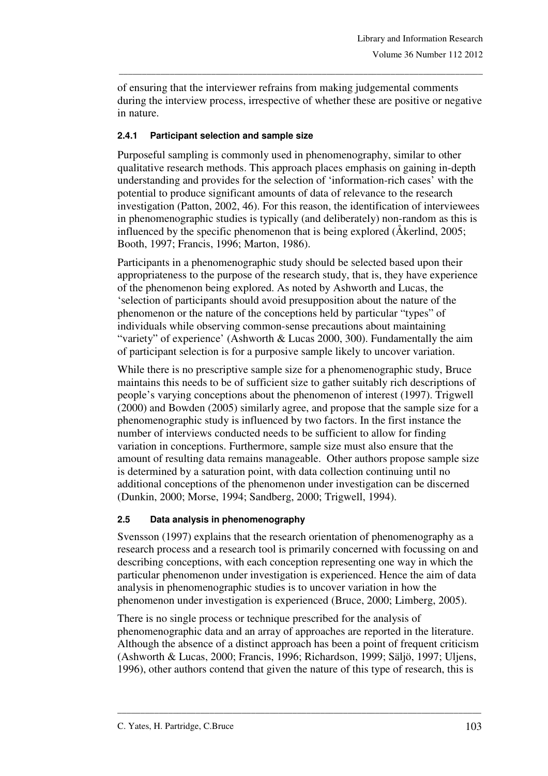of ensuring that the interviewer refrains from making judgemental comments during the interview process, irrespective of whether these are positive or negative in nature.

\_\_\_\_\_\_\_\_\_\_\_\_\_\_\_\_\_\_\_\_\_\_\_\_\_\_\_\_\_\_\_\_\_\_\_\_\_\_\_\_\_\_\_\_\_\_\_\_\_\_\_\_\_\_\_\_\_\_\_\_\_\_\_\_\_\_\_\_\_\_\_\_\_\_\_\_\_\_\_

#### **2.4.1 Participant selection and sample size**

Purposeful sampling is commonly used in phenomenography, similar to other qualitative research methods. This approach places emphasis on gaining in-depth understanding and provides for the selection of 'information-rich cases' with the potential to produce significant amounts of data of relevance to the research investigation (Patton, 2002, 46). For this reason, the identification of interviewees in phenomenographic studies is typically (and deliberately) non-random as this is influenced by the specific phenomenon that is being explored (Åkerlind, 2005; Booth, 1997; Francis, 1996; Marton, 1986).

Participants in a phenomenographic study should be selected based upon their appropriateness to the purpose of the research study, that is, they have experience of the phenomenon being explored. As noted by Ashworth and Lucas, the 'selection of participants should avoid presupposition about the nature of the phenomenon or the nature of the conceptions held by particular "types" of individuals while observing common-sense precautions about maintaining "variety" of experience' (Ashworth & Lucas 2000, 300). Fundamentally the aim of participant selection is for a purposive sample likely to uncover variation.

While there is no prescriptive sample size for a phenomenographic study, Bruce maintains this needs to be of sufficient size to gather suitably rich descriptions of people's varying conceptions about the phenomenon of interest (1997). Trigwell (2000) and Bowden (2005) similarly agree, and propose that the sample size for a phenomenographic study is influenced by two factors. In the first instance the number of interviews conducted needs to be sufficient to allow for finding variation in conceptions. Furthermore, sample size must also ensure that the amount of resulting data remains manageable. Other authors propose sample size is determined by a saturation point, with data collection continuing until no additional conceptions of the phenomenon under investigation can be discerned (Dunkin, 2000; Morse, 1994; Sandberg, 2000; Trigwell, 1994).

### **2.5 Data analysis in phenomenography**

Svensson (1997) explains that the research orientation of phenomenography as a research process and a research tool is primarily concerned with focussing on and describing conceptions, with each conception representing one way in which the particular phenomenon under investigation is experienced. Hence the aim of data analysis in phenomenographic studies is to uncover variation in how the phenomenon under investigation is experienced (Bruce, 2000; Limberg, 2005).

There is no single process or technique prescribed for the analysis of phenomenographic data and an array of approaches are reported in the literature. Although the absence of a distinct approach has been a point of frequent criticism (Ashworth & Lucas, 2000; Francis, 1996; Richardson, 1999; Säljö, 1997; Uljens, 1996), other authors contend that given the nature of this type of research, this is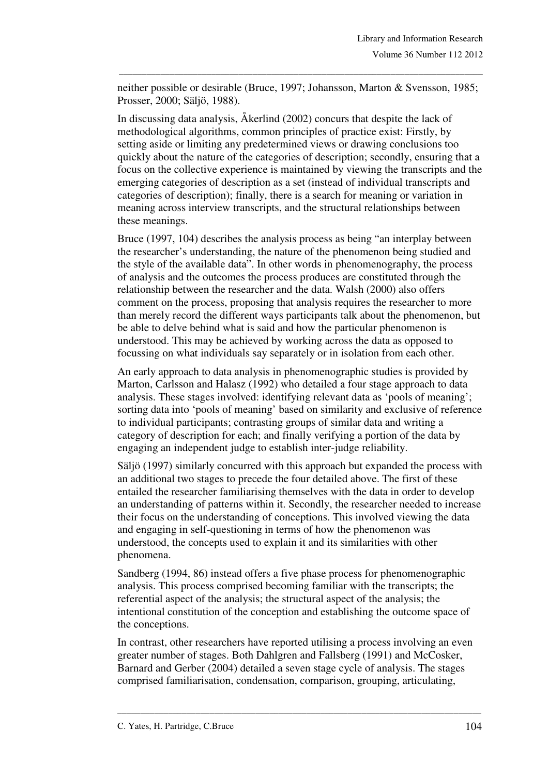neither possible or desirable (Bruce, 1997; Johansson, Marton & Svensson, 1985; Prosser, 2000; Säljö, 1988).

\_\_\_\_\_\_\_\_\_\_\_\_\_\_\_\_\_\_\_\_\_\_\_\_\_\_\_\_\_\_\_\_\_\_\_\_\_\_\_\_\_\_\_\_\_\_\_\_\_\_\_\_\_\_\_\_\_\_\_\_\_\_\_\_\_\_\_\_\_\_\_\_\_\_\_\_\_\_\_

In discussing data analysis, Åkerlind (2002) concurs that despite the lack of methodological algorithms, common principles of practice exist: Firstly, by setting aside or limiting any predetermined views or drawing conclusions too quickly about the nature of the categories of description; secondly, ensuring that a focus on the collective experience is maintained by viewing the transcripts and the emerging categories of description as a set (instead of individual transcripts and categories of description); finally, there is a search for meaning or variation in meaning across interview transcripts, and the structural relationships between these meanings.

Bruce (1997, 104) describes the analysis process as being "an interplay between the researcher's understanding, the nature of the phenomenon being studied and the style of the available data". In other words in phenomenography, the process of analysis and the outcomes the process produces are constituted through the relationship between the researcher and the data. Walsh (2000) also offers comment on the process, proposing that analysis requires the researcher to more than merely record the different ways participants talk about the phenomenon, but be able to delve behind what is said and how the particular phenomenon is understood. This may be achieved by working across the data as opposed to focussing on what individuals say separately or in isolation from each other.

An early approach to data analysis in phenomenographic studies is provided by Marton, Carlsson and Halasz (1992) who detailed a four stage approach to data analysis. These stages involved: identifying relevant data as 'pools of meaning'; sorting data into 'pools of meaning' based on similarity and exclusive of reference to individual participants; contrasting groups of similar data and writing a category of description for each; and finally verifying a portion of the data by engaging an independent judge to establish inter-judge reliability.

Säljö (1997) similarly concurred with this approach but expanded the process with an additional two stages to precede the four detailed above. The first of these entailed the researcher familiarising themselves with the data in order to develop an understanding of patterns within it. Secondly, the researcher needed to increase their focus on the understanding of conceptions. This involved viewing the data and engaging in self-questioning in terms of how the phenomenon was understood, the concepts used to explain it and its similarities with other phenomena.

Sandberg (1994, 86) instead offers a five phase process for phenomenographic analysis. This process comprised becoming familiar with the transcripts; the referential aspect of the analysis; the structural aspect of the analysis; the intentional constitution of the conception and establishing the outcome space of the conceptions.

In contrast, other researchers have reported utilising a process involving an even greater number of stages. Both Dahlgren and Fallsberg (1991) and McCosker, Barnard and Gerber (2004) detailed a seven stage cycle of analysis. The stages comprised familiarisation, condensation, comparison, grouping, articulating,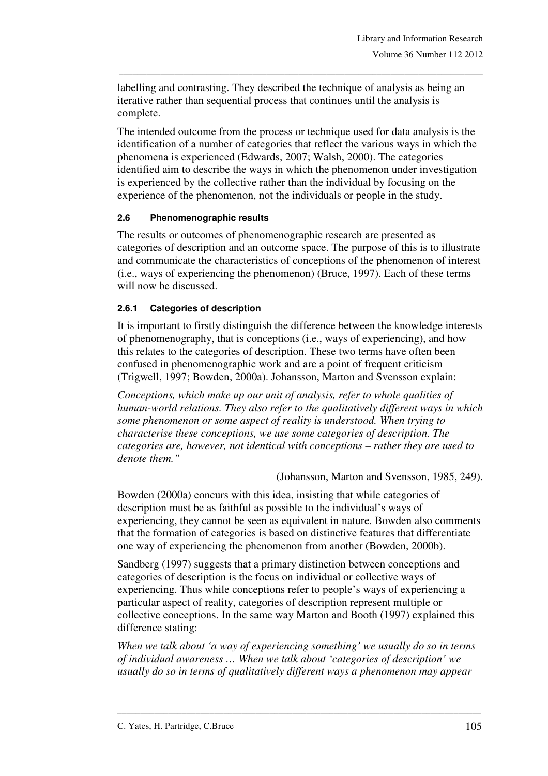labelling and contrasting. They described the technique of analysis as being an iterative rather than sequential process that continues until the analysis is complete.

\_\_\_\_\_\_\_\_\_\_\_\_\_\_\_\_\_\_\_\_\_\_\_\_\_\_\_\_\_\_\_\_\_\_\_\_\_\_\_\_\_\_\_\_\_\_\_\_\_\_\_\_\_\_\_\_\_\_\_\_\_\_\_\_\_\_\_\_\_\_\_\_\_\_\_\_\_\_\_

The intended outcome from the process or technique used for data analysis is the identification of a number of categories that reflect the various ways in which the phenomena is experienced (Edwards, 2007; Walsh, 2000). The categories identified aim to describe the ways in which the phenomenon under investigation is experienced by the collective rather than the individual by focusing on the experience of the phenomenon, not the individuals or people in the study.

### **2.6 Phenomenographic results**

The results or outcomes of phenomenographic research are presented as categories of description and an outcome space. The purpose of this is to illustrate and communicate the characteristics of conceptions of the phenomenon of interest (i.e., ways of experiencing the phenomenon) (Bruce, 1997). Each of these terms will now be discussed.

### **2.6.1 Categories of description**

It is important to firstly distinguish the difference between the knowledge interests of phenomenography, that is conceptions (i.e., ways of experiencing), and how this relates to the categories of description. These two terms have often been confused in phenomenographic work and are a point of frequent criticism (Trigwell, 1997; Bowden, 2000a). Johansson, Marton and Svensson explain:

*Conceptions, which make up our unit of analysis, refer to whole qualities of human-world relations. They also refer to the qualitatively different ways in which some phenomenon or some aspect of reality is understood. When trying to characterise these conceptions, we use some categories of description. The categories are, however, not identical with conceptions – rather they are used to denote them."* 

(Johansson, Marton and Svensson, 1985, 249).

Bowden (2000a) concurs with this idea, insisting that while categories of description must be as faithful as possible to the individual's ways of experiencing, they cannot be seen as equivalent in nature. Bowden also comments that the formation of categories is based on distinctive features that differentiate one way of experiencing the phenomenon from another (Bowden, 2000b).

Sandberg (1997) suggests that a primary distinction between conceptions and categories of description is the focus on individual or collective ways of experiencing. Thus while conceptions refer to people's ways of experiencing a particular aspect of reality, categories of description represent multiple or collective conceptions. In the same way Marton and Booth (1997) explained this difference stating:

*When we talk about 'a way of experiencing something' we usually do so in terms of individual awareness … When we talk about 'categories of description' we usually do so in terms of qualitatively different ways a phenomenon may appear*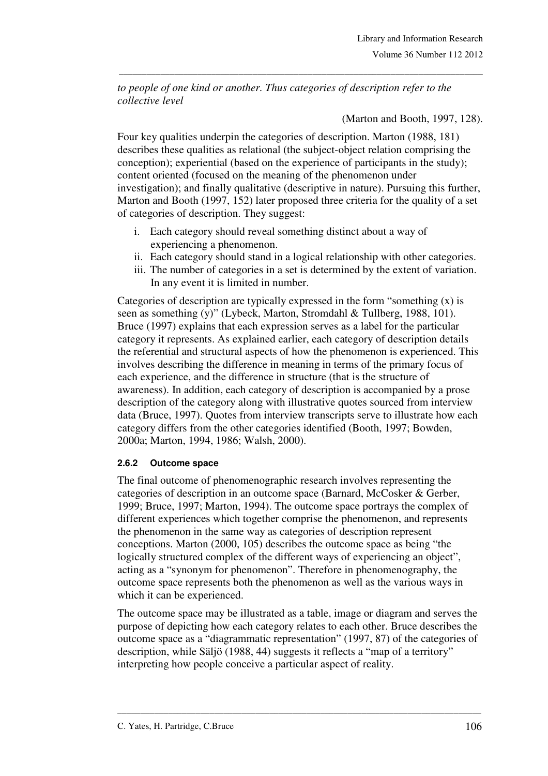*to people of one kind or another. Thus categories of description refer to the collective level* 

\_\_\_\_\_\_\_\_\_\_\_\_\_\_\_\_\_\_\_\_\_\_\_\_\_\_\_\_\_\_\_\_\_\_\_\_\_\_\_\_\_\_\_\_\_\_\_\_\_\_\_\_\_\_\_\_\_\_\_\_\_\_\_\_\_\_\_\_\_\_\_\_\_\_\_\_\_\_\_

(Marton and Booth, 1997, 128).

Four key qualities underpin the categories of description. Marton (1988, 181) describes these qualities as relational (the subject-object relation comprising the conception); experiential (based on the experience of participants in the study); content oriented (focused on the meaning of the phenomenon under investigation); and finally qualitative (descriptive in nature). Pursuing this further, Marton and Booth (1997, 152) later proposed three criteria for the quality of a set of categories of description. They suggest:

- i. Each category should reveal something distinct about a way of experiencing a phenomenon.
- ii. Each category should stand in a logical relationship with other categories.
- iii. The number of categories in a set is determined by the extent of variation. In any event it is limited in number.

Categories of description are typically expressed in the form "something (x) is seen as something (y)" (Lybeck, Marton, Stromdahl & Tullberg, 1988, 101). Bruce (1997) explains that each expression serves as a label for the particular category it represents. As explained earlier, each category of description details the referential and structural aspects of how the phenomenon is experienced. This involves describing the difference in meaning in terms of the primary focus of each experience, and the difference in structure (that is the structure of awareness). In addition, each category of description is accompanied by a prose description of the category along with illustrative quotes sourced from interview data (Bruce, 1997). Quotes from interview transcripts serve to illustrate how each category differs from the other categories identified (Booth, 1997; Bowden, 2000a; Marton, 1994, 1986; Walsh, 2000).

## **2.6.2 Outcome space**

The final outcome of phenomenographic research involves representing the categories of description in an outcome space (Barnard, McCosker & Gerber, 1999; Bruce, 1997; Marton, 1994). The outcome space portrays the complex of different experiences which together comprise the phenomenon, and represents the phenomenon in the same way as categories of description represent conceptions. Marton (2000, 105) describes the outcome space as being "the logically structured complex of the different ways of experiencing an object", acting as a "synonym for phenomenon". Therefore in phenomenography, the outcome space represents both the phenomenon as well as the various ways in which it can be experienced.

The outcome space may be illustrated as a table, image or diagram and serves the purpose of depicting how each category relates to each other. Bruce describes the outcome space as a "diagrammatic representation" (1997, 87) of the categories of description, while Säljö (1988, 44) suggests it reflects a "map of a territory" interpreting how people conceive a particular aspect of reality.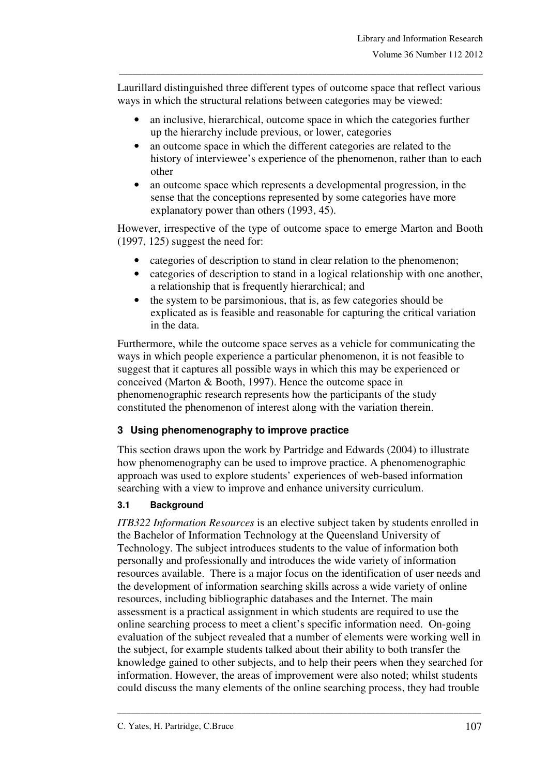Laurillard distinguished three different types of outcome space that reflect various ways in which the structural relations between categories may be viewed:

\_\_\_\_\_\_\_\_\_\_\_\_\_\_\_\_\_\_\_\_\_\_\_\_\_\_\_\_\_\_\_\_\_\_\_\_\_\_\_\_\_\_\_\_\_\_\_\_\_\_\_\_\_\_\_\_\_\_\_\_\_\_\_\_\_\_\_\_\_\_\_\_\_\_\_\_\_\_\_

- an inclusive, hierarchical, outcome space in which the categories further up the hierarchy include previous, or lower, categories
- an outcome space in which the different categories are related to the history of interviewee's experience of the phenomenon, rather than to each other
- an outcome space which represents a developmental progression, in the sense that the conceptions represented by some categories have more explanatory power than others (1993, 45).

However, irrespective of the type of outcome space to emerge Marton and Booth  $(1997, 125)$  suggest the need for:

- categories of description to stand in clear relation to the phenomenon;
- categories of description to stand in a logical relationship with one another, a relationship that is frequently hierarchical; and
- the system to be parsimonious, that is, as few categories should be explicated as is feasible and reasonable for capturing the critical variation in the data.

Furthermore, while the outcome space serves as a vehicle for communicating the ways in which people experience a particular phenomenon, it is not feasible to suggest that it captures all possible ways in which this may be experienced or conceived (Marton & Booth, 1997). Hence the outcome space in phenomenographic research represents how the participants of the study constituted the phenomenon of interest along with the variation therein.

## **3 Using phenomenography to improve practice**

This section draws upon the work by Partridge and Edwards (2004) to illustrate how phenomenography can be used to improve practice. A phenomenographic approach was used to explore students' experiences of web-based information searching with a view to improve and enhance university curriculum.

### **3.1 Background**

*ITB322 Information Resources* is an elective subject taken by students enrolled in the Bachelor of Information Technology at the Queensland University of Technology. The subject introduces students to the value of information both personally and professionally and introduces the wide variety of information resources available. There is a major focus on the identification of user needs and the development of information searching skills across a wide variety of online resources, including bibliographic databases and the Internet. The main assessment is a practical assignment in which students are required to use the online searching process to meet a client's specific information need. On-going evaluation of the subject revealed that a number of elements were working well in the subject, for example students talked about their ability to both transfer the knowledge gained to other subjects, and to help their peers when they searched for information. However, the areas of improvement were also noted; whilst students could discuss the many elements of the online searching process, they had trouble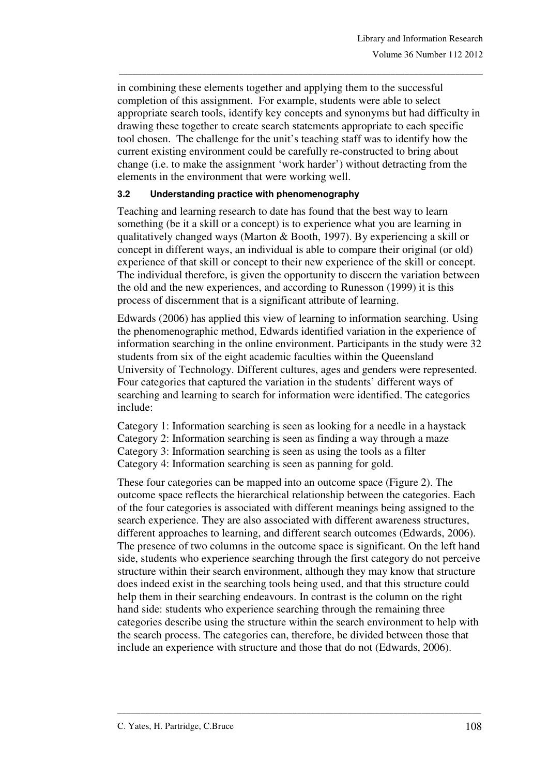in combining these elements together and applying them to the successful completion of this assignment. For example, students were able to select appropriate search tools, identify key concepts and synonyms but had difficulty in drawing these together to create search statements appropriate to each specific tool chosen. The challenge for the unit's teaching staff was to identify how the current existing environment could be carefully re-constructed to bring about change (i.e. to make the assignment 'work harder') without detracting from the elements in the environment that were working well.

\_\_\_\_\_\_\_\_\_\_\_\_\_\_\_\_\_\_\_\_\_\_\_\_\_\_\_\_\_\_\_\_\_\_\_\_\_\_\_\_\_\_\_\_\_\_\_\_\_\_\_\_\_\_\_\_\_\_\_\_\_\_\_\_\_\_\_\_\_\_\_\_\_\_\_\_\_\_\_

### **3.2 Understanding practice with phenomenography**

Teaching and learning research to date has found that the best way to learn something (be it a skill or a concept) is to experience what you are learning in qualitatively changed ways (Marton & Booth, 1997). By experiencing a skill or concept in different ways, an individual is able to compare their original (or old) experience of that skill or concept to their new experience of the skill or concept. The individual therefore, is given the opportunity to discern the variation between the old and the new experiences, and according to Runesson (1999) it is this process of discernment that is a significant attribute of learning.

Edwards (2006) has applied this view of learning to information searching. Using the phenomenographic method, Edwards identified variation in the experience of information searching in the online environment. Participants in the study were 32 students from six of the eight academic faculties within the Queensland University of Technology. Different cultures, ages and genders were represented. Four categories that captured the variation in the students' different ways of searching and learning to search for information were identified. The categories include:

Category 1: Information searching is seen as looking for a needle in a haystack

Category 2: Information searching is seen as finding a way through a maze Category 3: Information searching is seen as using the tools as a filter

Category 4: Information searching is seen as panning for gold.

These four categories can be mapped into an outcome space (Figure 2). The outcome space reflects the hierarchical relationship between the categories. Each of the four categories is associated with different meanings being assigned to the search experience. They are also associated with different awareness structures, different approaches to learning, and different search outcomes (Edwards, 2006). The presence of two columns in the outcome space is significant. On the left hand side, students who experience searching through the first category do not perceive structure within their search environment, although they may know that structure does indeed exist in the searching tools being used, and that this structure could help them in their searching endeavours. In contrast is the column on the right hand side: students who experience searching through the remaining three categories describe using the structure within the search environment to help with the search process. The categories can, therefore, be divided between those that include an experience with structure and those that do not (Edwards, 2006).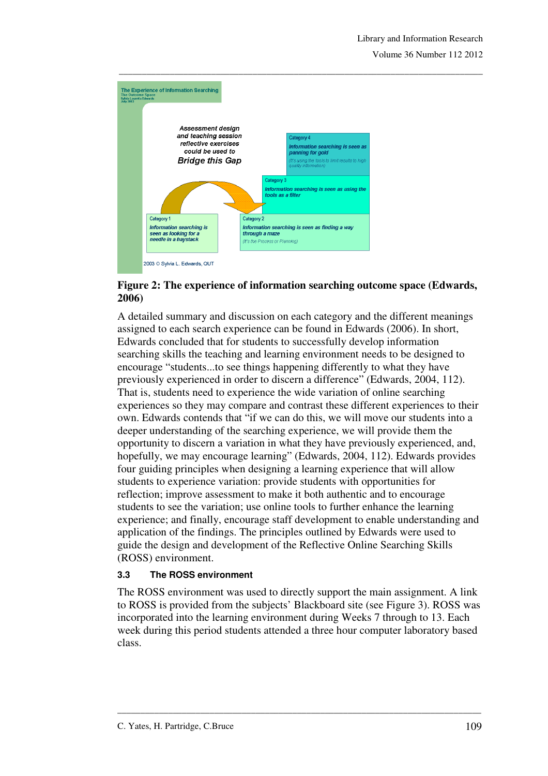

### **Figure 2: The experience of information searching outcome space (Edwards, 2006)**

A detailed summary and discussion on each category and the different meanings assigned to each search experience can be found in Edwards (2006). In short, Edwards concluded that for students to successfully develop information searching skills the teaching and learning environment needs to be designed to encourage "students...to see things happening differently to what they have previously experienced in order to discern a difference" (Edwards, 2004, 112). That is, students need to experience the wide variation of online searching experiences so they may compare and contrast these different experiences to their own. Edwards contends that "if we can do this, we will move our students into a deeper understanding of the searching experience, we will provide them the opportunity to discern a variation in what they have previously experienced, and, hopefully, we may encourage learning" (Edwards, 2004, 112). Edwards provides four guiding principles when designing a learning experience that will allow students to experience variation: provide students with opportunities for reflection; improve assessment to make it both authentic and to encourage students to see the variation; use online tools to further enhance the learning experience; and finally, encourage staff development to enable understanding and application of the findings. The principles outlined by Edwards were used to guide the design and development of the Reflective Online Searching Skills (ROSS) environment.

### **3.3 The ROSS environment**

The ROSS environment was used to directly support the main assignment. A link to ROSS is provided from the subjects' Blackboard site (see Figure 3). ROSS was incorporated into the learning environment during Weeks 7 through to 13. Each week during this period students attended a three hour computer laboratory based class.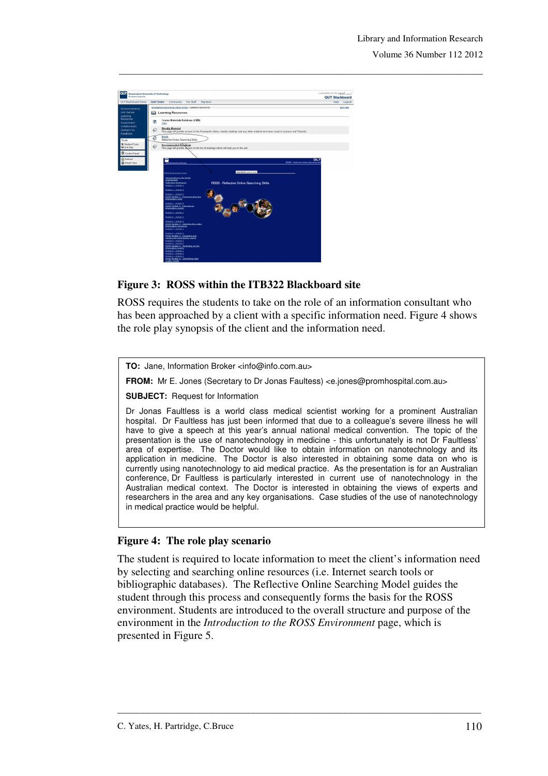

### **Figure 3: ROSS within the ITB322 Blackboard site**

ROSS requires the students to take on the role of an information consultant who has been approached by a client with a specific information need. Figure 4 shows the role play synopsis of the client and the information need.

\_\_\_\_\_\_\_\_\_\_\_\_\_\_\_\_\_\_\_\_\_\_\_\_\_\_\_\_\_\_\_\_\_\_\_\_\_\_\_\_\_\_\_\_\_\_\_\_\_\_\_\_\_\_\_\_\_\_\_\_\_\_\_\_\_\_\_\_\_\_\_\_\_\_\_\_\_\_\_

**TO:** Jane, Information Broker <info@info.com.au>

**FROM:** Mr E. Jones (Secretary to Dr Jonas Faultess) <e.jones@promhospital.com.au>

**SUBJECT:** Request for Information

Dr Jonas Faultless is a world class medical scientist working for a prominent Australian hospital. Dr Faultless has just been informed that due to a colleague's severe illness he will have to give a speech at this year's annual national medical convention. The topic of the presentation is the use of nanotechnology in medicine - this unfortunately is not Dr Faultless' area of expertise. The Doctor would like to obtain information on nanotechnology and its application in medicine. The Doctor is also interested in obtaining some data on who is currently using nanotechnology to aid medical practice. As the presentation is for an Australian conference, Dr Faultless is particularly interested in current use of nanotechnology in the Australian medical context. The Doctor is interested in obtaining the views of experts and researchers in the area and any key organisations. Case studies of the use of nanotechnology in medical practice would be helpful.

#### **Figure 4: The role play scenario**

The student is required to locate information to meet the client's information need by selecting and searching online resources (i.e. Internet search tools or bibliographic databases). The Reflective Online Searching Model guides the student through this process and consequently forms the basis for the ROSS environment. Students are introduced to the overall structure and purpose of the environment in the *Introduction to the ROSS Environment* page, which is presented in Figure 5.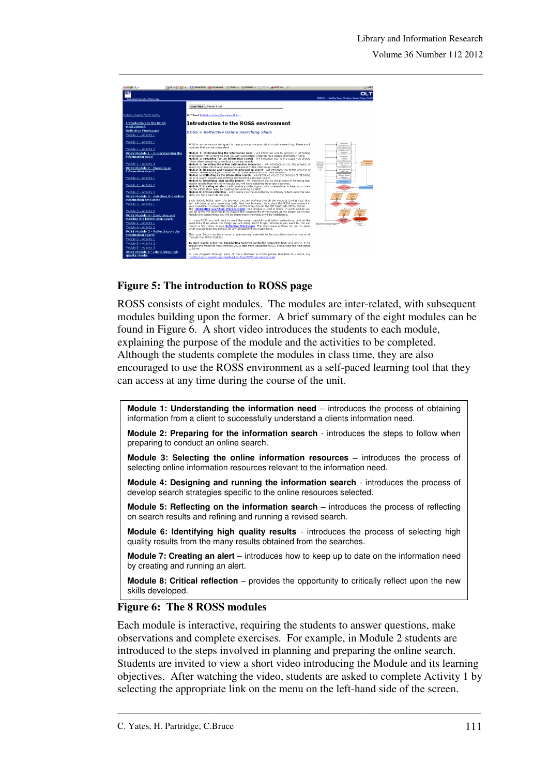

### **Figure 5: The introduction to ROSS page**

ROSS consists of eight modules. The modules are inter-related, with subsequent modules building upon the former. A brief summary of the eight modules can be found in Figure 6. A short video introduces the students to each module, explaining the purpose of the module and the activities to be completed. Although the students complete the modules in class time, they are also encouraged to use the ROSS environment as a self-paced learning tool that they can access at any time during the course of the unit.

**Module 1: Understanding the information need** – introduces the process of obtaining information from a client to successfully understand a clients information need.

**Module 2: Preparing for the information search** - introduces the steps to follow when preparing to conduct an online search.

**Module 3: Selecting the online information resources –** introduces the process of selecting online information resources relevant to the information need.

**Module 4: Designing and running the information search** - introduces the process of develop search strategies specific to the online resources selected.

**Module 5: Reflecting on the information search –** introduces the process of reflecting on search results and refining and running a revised search.

**Module 6: Identifying high quality results** - introduces the process of selecting high quality results from the many results obtained from the searches.

**Module 7: Creating an alert** – introduces how to keep up to date on the information need by creating and running an alert.

**Module 8: Critical reflection** – provides the opportunity to critically reflect upon the new skills developed.

#### **Figure 6: The 8 ROSS modules**

Each module is interactive, requiring the students to answer questions, make observations and complete exercises. For example, in Module 2 students are introduced to the steps involved in planning and preparing the online search. Students are invited to view a short video introducing the Module and its learning objectives. After watching the video, students are asked to complete Activity 1 by selecting the appropriate link on the menu on the left-hand side of the screen.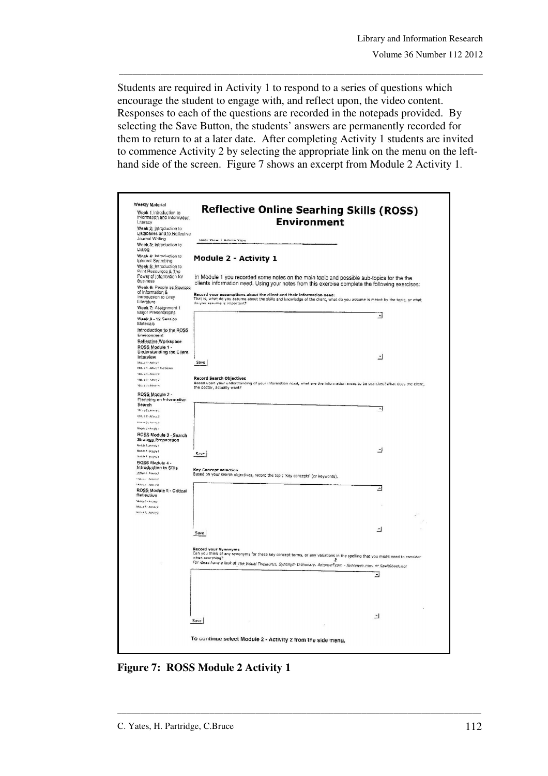Students are required in Activity 1 to respond to a series of questions which encourage the student to engage with, and reflect upon, the video content. Responses to each of the questions are recorded in the notepads provided. By selecting the Save Button, the students' answers are permanently recorded for them to return to at a later date. After completing Activity 1 students are invited to commence Activity 2 by selecting the appropriate link on the menu on the lefthand side of the screen. Figure 7 shows an excerpt from Module 2 Activity 1.

\_\_\_\_\_\_\_\_\_\_\_\_\_\_\_\_\_\_\_\_\_\_\_\_\_\_\_\_\_\_\_\_\_\_\_\_\_\_\_\_\_\_\_\_\_\_\_\_\_\_\_\_\_\_\_\_\_\_\_\_\_\_\_\_\_\_\_\_\_\_\_\_\_\_\_\_\_\_\_

| Week 1 Introduction to<br>Information and Information                   | <b>Reflective Online Searhing Skills (ROSS)</b>                                                                                                                                                                                    |  |
|-------------------------------------------------------------------------|------------------------------------------------------------------------------------------------------------------------------------------------------------------------------------------------------------------------------------|--|
| Literacy                                                                | <b>Environment</b>                                                                                                                                                                                                                 |  |
| Week 2: Introduction to<br>Databases and to Heflective                  |                                                                                                                                                                                                                                    |  |
| Journal Writing<br>Week 3: Introduction to                              | User View   Admin View                                                                                                                                                                                                             |  |
| Dialog<br>Week 4: Introduction to                                       |                                                                                                                                                                                                                                    |  |
| Internet Searching<br>Week 5: Introduction to                           | Module 2 - Activity 1                                                                                                                                                                                                              |  |
| Print Resources & The<br>Power of Information for<br><b>Business</b>    | In Module 1 you recorded some notes on the main topic and possible sub-topics for the the                                                                                                                                          |  |
| Week 6: People as Sources                                               | clients information need. Using your notes from this exercise complete the following exercises:                                                                                                                                    |  |
| of Information &<br>Introduction to Grey<br>Literature                  | Record your assumptions about the client and their information need:<br>That is, what do you assume about the skills and knowledge of the client, what do you assume is meant by the topic, or what<br>do you assume is important? |  |
| Week 7: Assignment 1                                                    |                                                                                                                                                                                                                                    |  |
| Major Presentations<br>Week 8 - 12 Session                              | ∃                                                                                                                                                                                                                                  |  |
| Materials<br>introduction to the ROSS<br>Environment                    |                                                                                                                                                                                                                                    |  |
| Reflective Workspace                                                    |                                                                                                                                                                                                                                    |  |
| ROSS Module 1 -<br><b>Understanding the Client</b>                      |                                                                                                                                                                                                                                    |  |
| Interview                                                               | ∸1                                                                                                                                                                                                                                 |  |
| Stocket 1 - Activity 1<br>Motule 1 - Adavity 1 Suprission               | Save                                                                                                                                                                                                                               |  |
| Macy VLL-Adaptiv 2                                                      | <b>Record Search Objectives</b>                                                                                                                                                                                                    |  |
| Motus J - Adwis 2<br>Novel Jobbyers                                     | Based upon your understanding of your information need, what are the information areas to be searched?What does the client,<br>the doctor, actually want?                                                                          |  |
| ROSS Module 2 -<br>Planning an Information                              |                                                                                                                                                                                                                                    |  |
| Search                                                                  |                                                                                                                                                                                                                                    |  |
| Mode # 2: Activity 1                                                    | ⅎ                                                                                                                                                                                                                                  |  |
| RS02, 4.2 - AC25, 2.2<br>Module 2 ; Accordg 3                           |                                                                                                                                                                                                                                    |  |
| Moquie 2 - Activity 4                                                   |                                                                                                                                                                                                                                    |  |
| ROSS Module 3 - Search<br>Strategy Preparation<br>Module 3 - Activity 1 |                                                                                                                                                                                                                                    |  |
| Module 3 - Actualiz 2                                                   | ᅿ                                                                                                                                                                                                                                  |  |
| Modele 2 (sclavis.2)                                                    | Save                                                                                                                                                                                                                               |  |
| BOSS Module 4 -<br>Introduction to SDIs<br>Modelli - Apaycy,1           | <b>Key Concept selection</b>                                                                                                                                                                                                       |  |
| Module 4 - Applety 2                                                    | Based on your search objectives, record the topic 'Key concepts' (or keywords).                                                                                                                                                    |  |
| Models Admin 2                                                          | ⊿                                                                                                                                                                                                                                  |  |
| ROSS Module 5 - Critical<br>Reflection                                  |                                                                                                                                                                                                                                    |  |
| Modulo 6 - Adroid, I<br>Module 6 - Actordy 2                            |                                                                                                                                                                                                                                    |  |
| Mobile 5, Activity 3                                                    |                                                                                                                                                                                                                                    |  |
|                                                                         |                                                                                                                                                                                                                                    |  |
|                                                                         | 츼<br>Save                                                                                                                                                                                                                          |  |
|                                                                         | Record your Synonyms                                                                                                                                                                                                               |  |
|                                                                         | Can you think of any synonyms for these key concept terms, or any variations in the spelling that you might need to consider<br>ಿ                                                                                                  |  |
|                                                                         | For ideas have a look at The Visual Thesaurus, Synonym Dictionary, Antonynt.com - Synonym.com, or SpellCheck.net                                                                                                                   |  |
|                                                                         | ⅎ                                                                                                                                                                                                                                  |  |
|                                                                         |                                                                                                                                                                                                                                    |  |
|                                                                         |                                                                                                                                                                                                                                    |  |
|                                                                         |                                                                                                                                                                                                                                    |  |
|                                                                         | E                                                                                                                                                                                                                                  |  |
|                                                                         | Save ;                                                                                                                                                                                                                             |  |
|                                                                         | To continue select Module 2 - Activity 2 from the side menu.                                                                                                                                                                       |  |

**Figure 7: ROSS Module 2 Activity 1**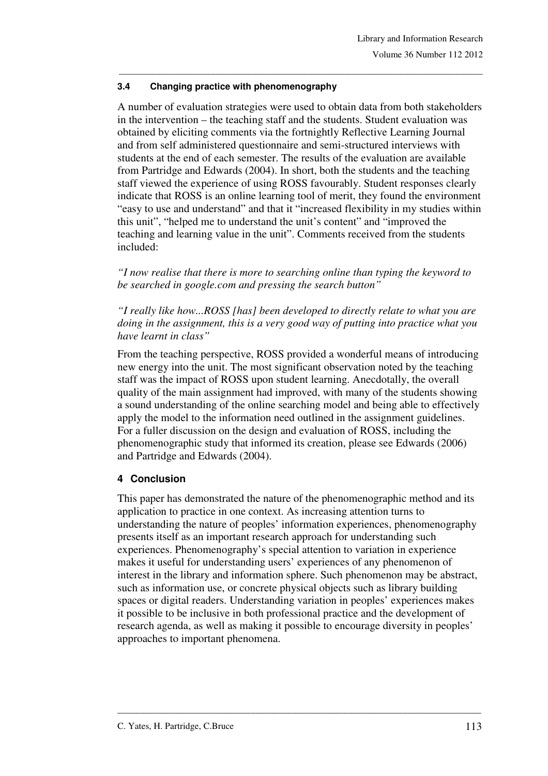### **3.4 Changing practice with phenomenography**

A number of evaluation strategies were used to obtain data from both stakeholders in the intervention – the teaching staff and the students. Student evaluation was obtained by eliciting comments via the fortnightly Reflective Learning Journal and from self administered questionnaire and semi-structured interviews with students at the end of each semester. The results of the evaluation are available from Partridge and Edwards (2004). In short, both the students and the teaching staff viewed the experience of using ROSS favourably. Student responses clearly indicate that ROSS is an online learning tool of merit, they found the environment "easy to use and understand" and that it "increased flexibility in my studies within this unit", "helped me to understand the unit's content" and "improved the teaching and learning value in the unit". Comments received from the students included:

\_\_\_\_\_\_\_\_\_\_\_\_\_\_\_\_\_\_\_\_\_\_\_\_\_\_\_\_\_\_\_\_\_\_\_\_\_\_\_\_\_\_\_\_\_\_\_\_\_\_\_\_\_\_\_\_\_\_\_\_\_\_\_\_\_\_\_\_\_\_\_\_\_\_\_\_\_\_\_

*"I now realise that there is more to searching online than typing the keyword to be searched in google.com and pressing the search button"* 

*"I really like how...ROSS [has] been developed to directly relate to what you are doing in the assignment, this is a very good way of putting into practice what you have learnt in class"* 

From the teaching perspective, ROSS provided a wonderful means of introducing new energy into the unit. The most significant observation noted by the teaching staff was the impact of ROSS upon student learning. Anecdotally, the overall quality of the main assignment had improved, with many of the students showing a sound understanding of the online searching model and being able to effectively apply the model to the information need outlined in the assignment guidelines. For a fuller discussion on the design and evaluation of ROSS, including the phenomenographic study that informed its creation, please see Edwards (2006) and Partridge and Edwards (2004).

## **4 Conclusion**

This paper has demonstrated the nature of the phenomenographic method and its application to practice in one context. As increasing attention turns to understanding the nature of peoples' information experiences, phenomenography presents itself as an important research approach for understanding such experiences. Phenomenography's special attention to variation in experience makes it useful for understanding users' experiences of any phenomenon of interest in the library and information sphere. Such phenomenon may be abstract, such as information use, or concrete physical objects such as library building spaces or digital readers. Understanding variation in peoples' experiences makes it possible to be inclusive in both professional practice and the development of research agenda, as well as making it possible to encourage diversity in peoples' approaches to important phenomena.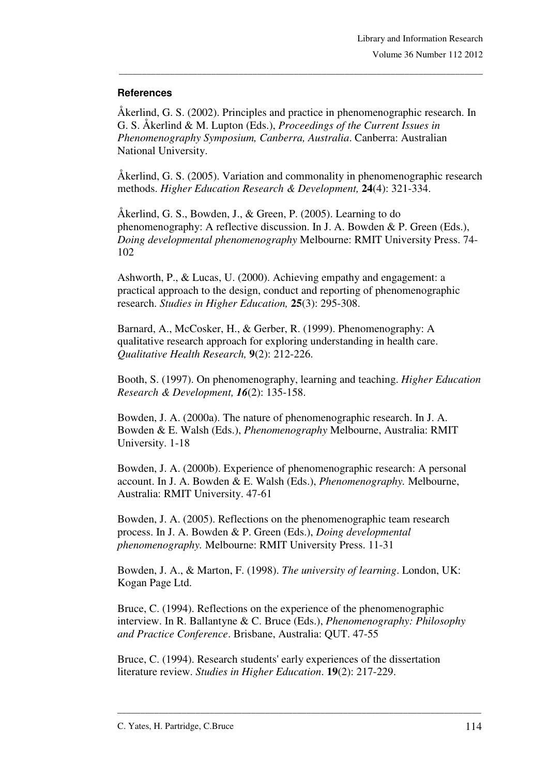### **References**

Åkerlind, G. S. (2002). Principles and practice in phenomenographic research. In G. S. Åkerlind & M. Lupton (Eds.), *Proceedings of the Current Issues in Phenomenography Symposium, Canberra, Australia*. Canberra: Australian National University.

\_\_\_\_\_\_\_\_\_\_\_\_\_\_\_\_\_\_\_\_\_\_\_\_\_\_\_\_\_\_\_\_\_\_\_\_\_\_\_\_\_\_\_\_\_\_\_\_\_\_\_\_\_\_\_\_\_\_\_\_\_\_\_\_\_\_\_\_\_\_\_\_\_\_\_\_\_\_\_

Åkerlind, G. S. (2005). Variation and commonality in phenomenographic research methods. *Higher Education Research & Development,* **24**(4): 321-334.

Åkerlind, G. S., Bowden, J., & Green, P. (2005). Learning to do phenomenography: A reflective discussion. In J. A. Bowden & P. Green (Eds.), *Doing developmental phenomenography* Melbourne: RMIT University Press. 74- 102

Ashworth, P., & Lucas, U. (2000). Achieving empathy and engagement: a practical approach to the design, conduct and reporting of phenomenographic research. *Studies in Higher Education,* **25**(3): 295-308.

Barnard, A., McCosker, H., & Gerber, R. (1999). Phenomenography: A qualitative research approach for exploring understanding in health care. *Qualitative Health Research,* **9**(2): 212-226.

Booth, S. (1997). On phenomenography, learning and teaching. *Higher Education Research & Development, 16*(2): 135-158.

Bowden, J. A. (2000a). The nature of phenomenographic research. In J. A. Bowden & E. Walsh (Eds.), *Phenomenography* Melbourne, Australia: RMIT University. 1-18

Bowden, J. A. (2000b). Experience of phenomenographic research: A personal account. In J. A. Bowden & E. Walsh (Eds.), *Phenomenography.* Melbourne, Australia: RMIT University. 47-61

Bowden, J. A. (2005). Reflections on the phenomenographic team research process. In J. A. Bowden & P. Green (Eds.), *Doing developmental phenomenography.* Melbourne: RMIT University Press. 11-31

Bowden, J. A., & Marton, F. (1998). *The university of learning*. London, UK: Kogan Page Ltd.

Bruce, C. (1994). Reflections on the experience of the phenomenographic interview. In R. Ballantyne & C. Bruce (Eds.), *Phenomenography: Philosophy and Practice Conference*. Brisbane, Australia: QUT. 47-55

\_\_\_\_\_\_\_\_\_\_\_\_\_\_\_\_\_\_\_\_\_\_\_\_\_\_\_\_\_\_\_\_\_\_\_\_\_\_\_\_\_\_\_\_\_\_\_\_\_\_\_\_\_\_\_\_\_\_\_\_\_\_\_\_\_\_\_\_\_\_\_\_\_\_\_\_\_\_\_

Bruce, C. (1994). Research students' early experiences of the dissertation literature review. *Studies in Higher Education*. **19**(2): 217-229.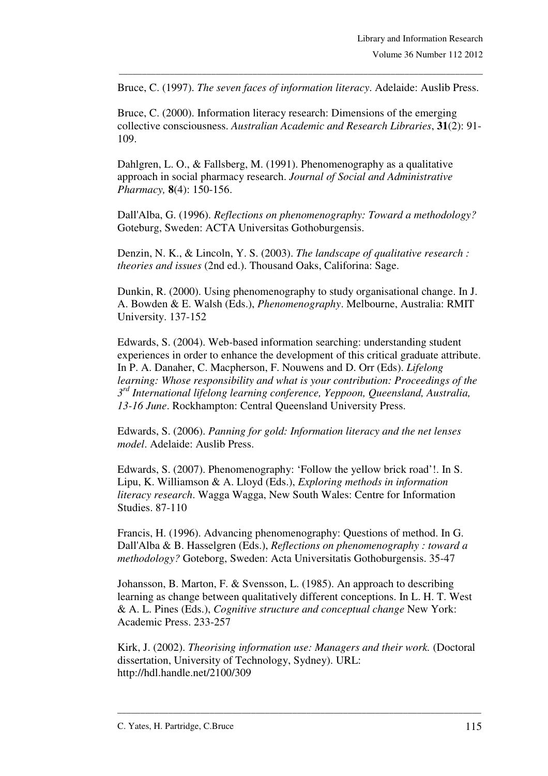Bruce, C. (1997). *The seven faces of information literacy*. Adelaide: Auslib Press.

\_\_\_\_\_\_\_\_\_\_\_\_\_\_\_\_\_\_\_\_\_\_\_\_\_\_\_\_\_\_\_\_\_\_\_\_\_\_\_\_\_\_\_\_\_\_\_\_\_\_\_\_\_\_\_\_\_\_\_\_\_\_\_\_\_\_\_\_\_\_\_\_\_\_\_\_\_\_\_

Bruce, C. (2000). Information literacy research: Dimensions of the emerging collective consciousness. *Australian Academic and Research Libraries*, **31**(2): 91- 109.

Dahlgren, L. O., & Fallsberg, M. (1991). Phenomenography as a qualitative approach in social pharmacy research. *Journal of Social and Administrative Pharmacy,* **8**(4): 150-156.

Dall'Alba, G. (1996). *Reflections on phenomenography: Toward a methodology?* Goteburg, Sweden: ACTA Universitas Gothoburgensis.

Denzin, N. K., & Lincoln, Y. S. (2003). *The landscape of qualitative research : theories and issues* (2nd ed.). Thousand Oaks, Califorina: Sage.

Dunkin, R. (2000). Using phenomenography to study organisational change. In J. A. Bowden & E. Walsh (Eds.), *Phenomenography*. Melbourne, Australia: RMIT University. 137-152

Edwards, S. (2004). Web-based information searching: understanding student experiences in order to enhance the development of this critical graduate attribute. In P. A. Danaher, C. Macpherson, F. Nouwens and D. Orr (Eds). *Lifelong learning: Whose responsibility and what is your contribution: Proceedings of the 3 rd International lifelong learning conference, Yeppoon, Queensland, Australia, 13-16 June*. Rockhampton: Central Queensland University Press.

Edwards, S. (2006). *Panning for gold: Information literacy and the net lenses model*. Adelaide: Auslib Press.

Edwards, S. (2007). Phenomenography: 'Follow the yellow brick road'!. In S. Lipu, K. Williamson & A. Lloyd (Eds.), *Exploring methods in information literacy research*. Wagga Wagga, New South Wales: Centre for Information Studies. 87-110

Francis, H. (1996). Advancing phenomenography: Questions of method. In G. Dall'Alba & B. Hasselgren (Eds.), *Reflections on phenomenography : toward a methodology?* Goteborg, Sweden: Acta Universitatis Gothoburgensis. 35-47

Johansson, B. Marton, F. & Svensson, L. (1985). An approach to describing learning as change between qualitatively different conceptions. In L. H. T. West & A. L. Pines (Eds.), *Cognitive structure and conceptual change* New York: Academic Press. 233-257

Kirk, J. (2002). *Theorising information use: Managers and their work.* (Doctoral dissertation, University of Technology, Sydney). URL: http://hdl.handle.net/2100/309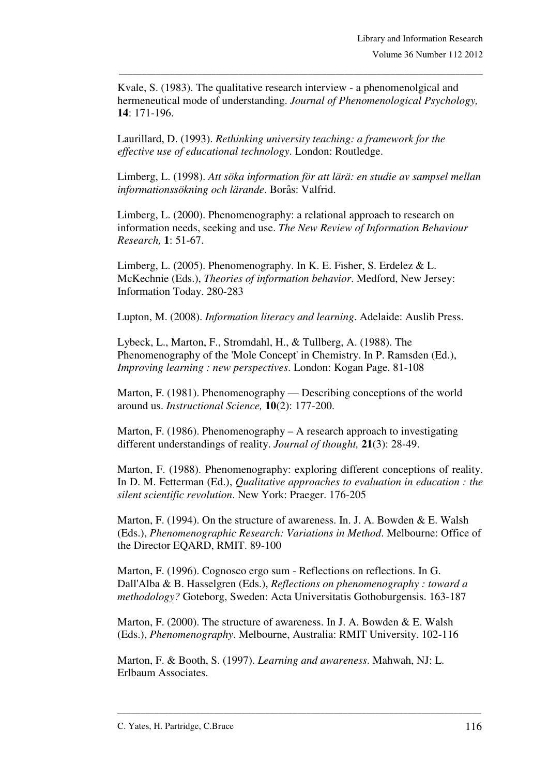Kvale, S. (1983). The qualitative research interview - a phenomenolgical and hermeneutical mode of understanding. *Journal of Phenomenological Psychology,*  **14**: 171-196.

\_\_\_\_\_\_\_\_\_\_\_\_\_\_\_\_\_\_\_\_\_\_\_\_\_\_\_\_\_\_\_\_\_\_\_\_\_\_\_\_\_\_\_\_\_\_\_\_\_\_\_\_\_\_\_\_\_\_\_\_\_\_\_\_\_\_\_\_\_\_\_\_\_\_\_\_\_\_\_

Laurillard, D. (1993). *Rethinking university teaching: a framework for the effective use of educational technology*. London: Routledge.

Limberg, L. (1998). *Att söka information för att lärä: en studie av sampsel mellan informationssökning och lärande*. Borås: Valfrid.

Limberg, L. (2000). Phenomenography: a relational approach to research on information needs, seeking and use. *The New Review of Information Behaviour Research,* **1**: 51-67.

Limberg, L. (2005). Phenomenography. In K. E. Fisher, S. Erdelez & L. McKechnie (Eds.), *Theories of information behavior*. Medford, New Jersey: Information Today. 280-283

Lupton, M. (2008). *Information literacy and learning*. Adelaide: Auslib Press.

Lybeck, L., Marton, F., Stromdahl, H., & Tullberg, A. (1988). The Phenomenography of the 'Mole Concept' in Chemistry. In P. Ramsden (Ed.), *Improving learning : new perspectives*. London: Kogan Page. 81-108

Marton, F. (1981). Phenomenography — Describing conceptions of the world around us. *Instructional Science,* **10**(2): 177-200.

Marton, F. (1986). Phenomenography – A research approach to investigating different understandings of reality. *Journal of thought,* **21**(3): 28-49.

Marton, F. (1988). Phenomenography: exploring different conceptions of reality. In D. M. Fetterman (Ed.), *Qualitative approaches to evaluation in education : the silent scientific revolution*. New York: Praeger. 176-205

Marton, F. (1994). On the structure of awareness. In. J. A. Bowden & E. Walsh (Eds.), *Phenomenographic Research: Variations in Method*. Melbourne: Office of the Director EQARD, RMIT. 89-100

Marton, F. (1996). Cognosco ergo sum - Reflections on reflections. In G. Dall'Alba & B. Hasselgren (Eds.), *Reflections on phenomenography : toward a methodology?* Goteborg, Sweden: Acta Universitatis Gothoburgensis. 163-187

Marton, F. (2000). The structure of awareness. In J. A. Bowden & E. Walsh (Eds.), *Phenomenography*. Melbourne, Australia: RMIT University. 102-116

Marton, F. & Booth, S. (1997). *Learning and awareness*. Mahwah, NJ: L. Erlbaum Associates.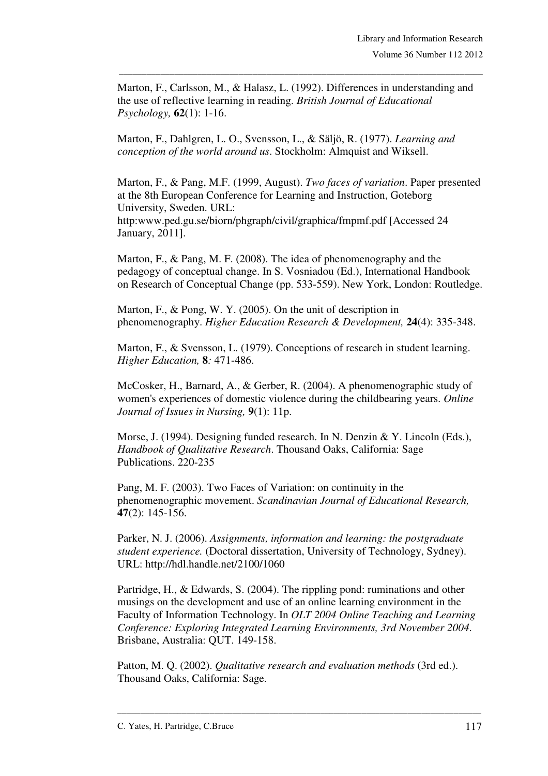Marton, F., Carlsson, M., & Halasz, L. (1992). Differences in understanding and the use of reflective learning in reading. *British Journal of Educational Psychology,* **62**(1): 1-16.

\_\_\_\_\_\_\_\_\_\_\_\_\_\_\_\_\_\_\_\_\_\_\_\_\_\_\_\_\_\_\_\_\_\_\_\_\_\_\_\_\_\_\_\_\_\_\_\_\_\_\_\_\_\_\_\_\_\_\_\_\_\_\_\_\_\_\_\_\_\_\_\_\_\_\_\_\_\_\_

Marton, F., Dahlgren, L. O., Svensson, L., & Säljö, R. (1977). *Learning and conception of the world around us*. Stockholm: Almquist and Wiksell.

Marton, F., & Pang, M.F. (1999, August). *Two faces of variation*. Paper presented at the 8th European Conference for Learning and Instruction, Goteborg University, Sweden. URL: http:www.ped.gu.se/biorn/phgraph/civil/graphica/fmpmf.pdf [Accessed 24 January, 2011].

Marton, F., & Pang, M. F. (2008). The idea of phenomenography and the pedagogy of conceptual change. In S. Vosniadou (Ed.), International Handbook on Research of Conceptual Change (pp. 533-559). New York, London: Routledge.

Marton, F., & Pong, W. Y. (2005). On the unit of description in phenomenography. *Higher Education Research & Development,* **24**(4): 335-348.

Marton, F., & Svensson, L. (1979). Conceptions of research in student learning. *Higher Education,* **8***:* 471-486.

McCosker, H., Barnard, A., & Gerber, R. (2004). A phenomenographic study of women's experiences of domestic violence during the childbearing years. *Online Journal of Issues in Nursing,* **9**(1): 11p.

Morse, J. (1994). Designing funded research. In N. Denzin & Y. Lincoln (Eds.), *Handbook of Qualitative Research*. Thousand Oaks, California: Sage Publications. 220-235

Pang, M. F. (2003). Two Faces of Variation: on continuity in the phenomenographic movement. *Scandinavian Journal of Educational Research,*  **47**(2): 145-156.

Parker, N. J. (2006). *Assignments, information and learning: the postgraduate student experience.* (Doctoral dissertation, University of Technology, Sydney). URL: http://hdl.handle.net/2100/1060

Partridge, H., & Edwards, S. (2004). The rippling pond: ruminations and other musings on the development and use of an online learning environment in the Faculty of Information Technology. In *OLT 2004 Online Teaching and Learning Conference: Exploring Integrated Learning Environments, 3rd November 2004*. Brisbane, Australia: QUT. 149-158.

Patton, M. Q. (2002). *Qualitative research and evaluation methods* (3rd ed.). Thousand Oaks, California: Sage.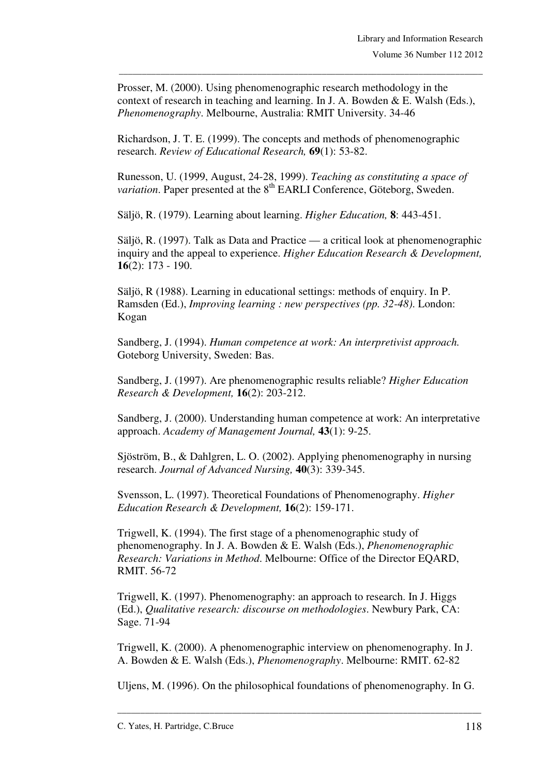Prosser, M. (2000). Using phenomenographic research methodology in the context of research in teaching and learning. In J. A. Bowden & E. Walsh (Eds.), *Phenomenography*. Melbourne, Australia: RMIT University. 34-46

\_\_\_\_\_\_\_\_\_\_\_\_\_\_\_\_\_\_\_\_\_\_\_\_\_\_\_\_\_\_\_\_\_\_\_\_\_\_\_\_\_\_\_\_\_\_\_\_\_\_\_\_\_\_\_\_\_\_\_\_\_\_\_\_\_\_\_\_\_\_\_\_\_\_\_\_\_\_\_

Richardson, J. T. E. (1999). The concepts and methods of phenomenographic research. *Review of Educational Research,* **69**(1): 53-82.

Runesson, U. (1999, August, 24-28, 1999). *Teaching as constituting a space of variation*. Paper presented at the 8<sup>th</sup> EARLI Conference, Göteborg, Sweden.

Säljö, R. (1979). Learning about learning. *Higher Education,* **8**: 443-451.

Säljö, R. (1997). Talk as Data and Practice — a critical look at phenomenographic inquiry and the appeal to experience. *Higher Education Research & Development,*  **16**(2): 173 - 190.

Säljö, R (1988). Learning in educational settings: methods of enquiry. In P. Ramsden (Ed.), *Improving learning : new perspectives (pp. 32-48)*. London: Kogan

Sandberg, J. (1994). *Human competence at work: An interpretivist approach.* Goteborg University, Sweden: Bas.

Sandberg, J. (1997). Are phenomenographic results reliable? *Higher Education Research & Development,* **16**(2): 203-212.

Sandberg, J. (2000). Understanding human competence at work: An interpretative approach. *Academy of Management Journal,* **43**(1): 9-25.

Sjöström, B., & Dahlgren, L. O. (2002). Applying phenomenography in nursing research. *Journal of Advanced Nursing,* **40**(3): 339-345.

Svensson, L. (1997). Theoretical Foundations of Phenomenography. *Higher Education Research & Development,* **16**(2): 159-171.

Trigwell, K. (1994). The first stage of a phenomenographic study of phenomenography. In J. A. Bowden & E. Walsh (Eds.), *Phenomenographic Research: Variations in Method*. Melbourne: Office of the Director EQARD, RMIT. 56-72

Trigwell, K. (1997). Phenomenography: an approach to research. In J. Higgs (Ed.), *Qualitative research: discourse on methodologies*. Newbury Park, CA: Sage. 71-94

Trigwell, K. (2000). A phenomenographic interview on phenomenography. In J. A. Bowden & E. Walsh (Eds.), *Phenomenography*. Melbourne: RMIT. 62-82

Uljens, M. (1996). On the philosophical foundations of phenomenography. In G.